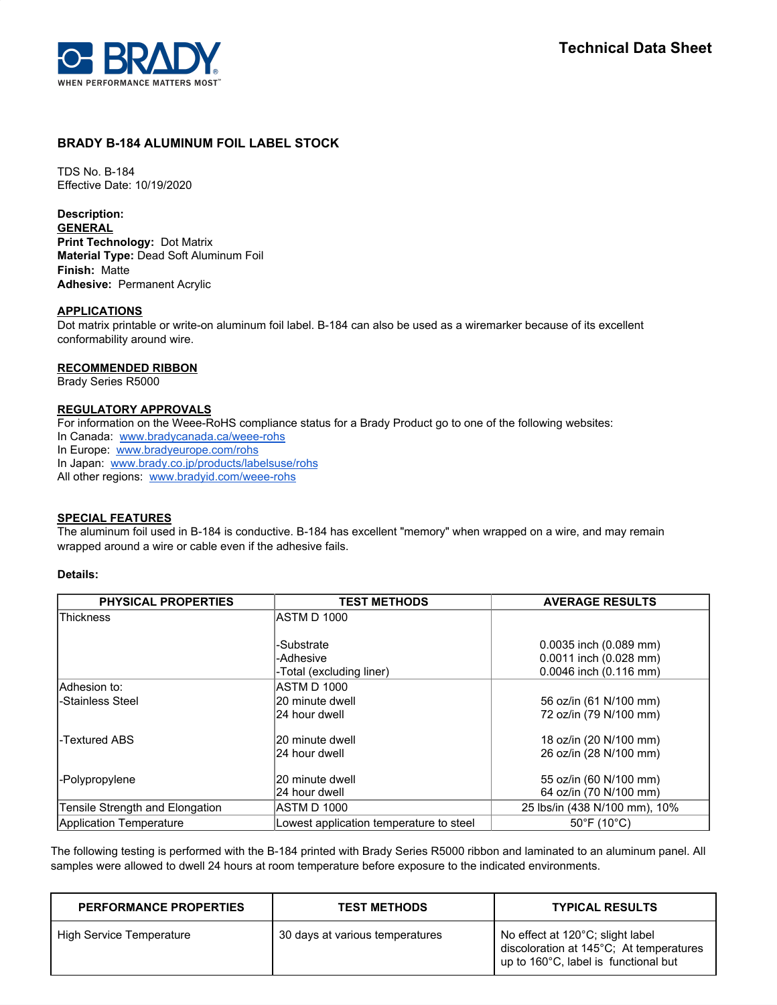

# **BRADY B-184 ALUMINUM FOIL LABEL STOCK**

TDS No. B-184 Effective Date: 10/19/2020

**Description:**

**GENERAL Print Technology:** Dot Matrix **Material Type:** Dead Soft Aluminum Foil **Finish:** Matte **Adhesive:** Permanent Acrylic

## **APPLICATIONS**

Dot matrix printable or write-on aluminum foil label. B-184 can also be used as a wiremarker because of its excellent conformability around wire.

## **RECOMMENDED RIBBON**

Brady Series R5000

## **REGULATORY APPROVALS**

For information on the Weee-RoHS compliance status for a Brady Product go to one of the following websites:

In Canada: [www.bradycanada.ca/weee-rohs](http://www.bradycanada.ca/weee-rohs)

In Europe: [www.bradyeurope.com/rohs](http://www.bradyeurope.com/rohs)

In Japan: www.[brady.co.jp/products/labelsuse/rohs](https://brady.co.jp/products/labelsuse/rohs)

All other regions: [www.bradyid.com/weee-rohs](http://www.bradyid.com/weee-rohs)

## **SPECIAL FEATURES**

The aluminum foil used in B-184 is conductive. B-184 has excellent "memory" when wrapped on a wire, and may remain wrapped around a wire or cable even if the adhesive fails.

## **Details:**

| <b>PHYSICAL PROPERTIES</b>      | <b>TEST METHODS</b>                     | <b>AVERAGE RESULTS</b>           |
|---------------------------------|-----------------------------------------|----------------------------------|
| <b>Thickness</b>                | ASTM D 1000                             |                                  |
|                                 |                                         |                                  |
|                                 | -Substrate                              | $0.0035$ inch $(0.089$ mm)       |
|                                 | -Adhesive                               | $0.0011$ inch $(0.028$ mm)       |
|                                 | -Total (excluding liner)                | 0.0046 inch (0.116 mm)           |
| lAdhesion to:                   | <b>ASTM D 1000</b>                      |                                  |
| -Stainless Steel                | 20 minute dwell                         | 56 oz/in (61 N/100 mm)           |
|                                 | 24 hour dwell                           | 72 oz/in (79 N/100 mm)           |
| l-Textured ABS                  | 20 minute dwell                         | 18 oz/in (20 N/100 mm)           |
|                                 | 24 hour dwell                           | 26 oz/in (28 N/100 mm)           |
| -Polypropylene                  | 20 minute dwell                         | 55 oz/in (60 N/100 mm)           |
|                                 | 24 hour dwell                           | 64 oz/in (70 N/100 mm)           |
| Tensile Strength and Elongation | ASTM D 1000                             | 25 lbs/in (438 N/100 mm), 10%    |
| Application Temperature         | Lowest application temperature to steel | $50^{\circ}$ F (10 $^{\circ}$ C) |

The following testing is performed with the B-184 printed with Brady Series R5000 ribbon and laminated to an aluminum panel. All samples were allowed to dwell 24 hours at room temperature before exposure to the indicated environments.

| <b>PERFORMANCE PROPERTIES</b>   | <b>TEST METHODS</b>             | <b>TYPICAL RESULTS</b>                                                                                              |
|---------------------------------|---------------------------------|---------------------------------------------------------------------------------------------------------------------|
| <b>High Service Temperature</b> | 30 days at various temperatures | No effect at 120°C; slight label<br>discoloration at 145°C; At temperatures<br>up to 160°C, label is functional but |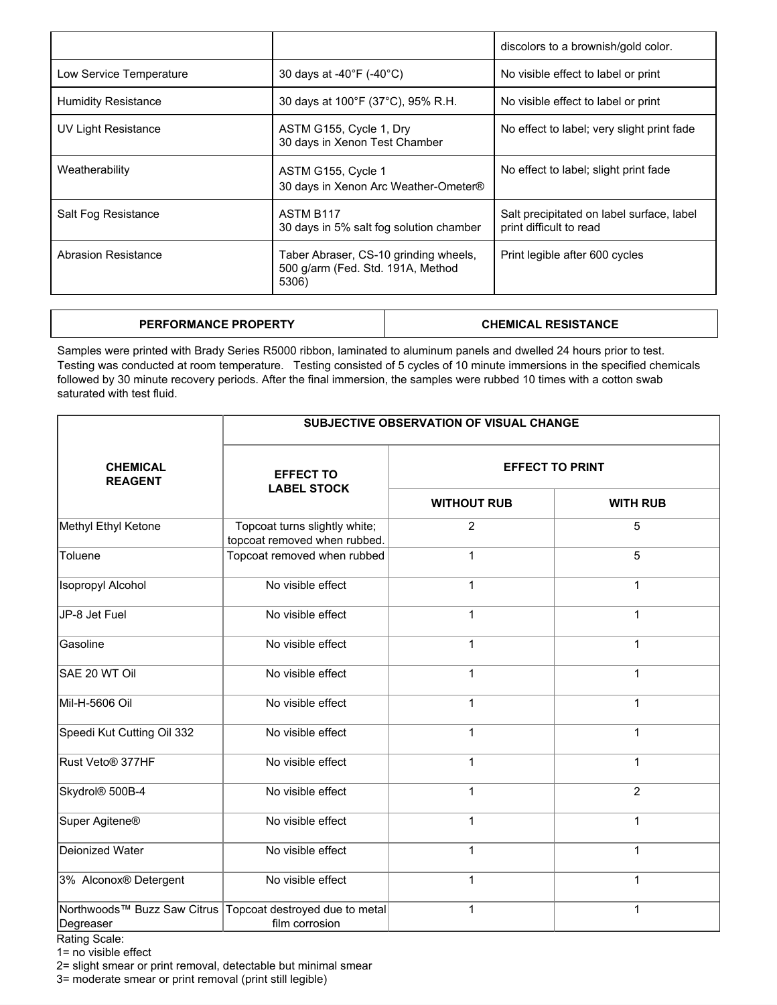|                            |                                                                                     | discolors to a brownish/gold color.                                  |  |
|----------------------------|-------------------------------------------------------------------------------------|----------------------------------------------------------------------|--|
| Low Service Temperature    | 30 days at -40 $\degree$ F (-40 $\degree$ C)                                        | No visible effect to label or print                                  |  |
| <b>Humidity Resistance</b> | 30 days at 100°F (37°C), 95% R.H.                                                   | No visible effect to label or print                                  |  |
| UV Light Resistance        | ASTM G155, Cycle 1, Dry<br>30 days in Xenon Test Chamber                            | No effect to label; very slight print fade                           |  |
| Weatherability             | ASTM G155, Cycle 1<br>30 days in Xenon Arc Weather-Ometer®                          | No effect to label; slight print fade                                |  |
| Salt Fog Resistance        | <b>ASTM B117</b><br>30 days in 5% salt fog solution chamber                         | Salt precipitated on label surface, label<br>print difficult to read |  |
| Abrasion Resistance        | Taber Abraser, CS-10 grinding wheels,<br>500 g/arm (Fed. Std. 191A, Method<br>5306) | Print legible after 600 cycles                                       |  |

| <b>RFORMANCE PROPERTY</b><br><b>PFRI</b> | SISTANCE<br>RFS.<br>CHEMIC<br>∵AL |
|------------------------------------------|-----------------------------------|
|                                          |                                   |

Samples were printed with Brady Series R5000 ribbon, laminated to aluminum panels and dwelled 24 hours prior to test. Testing was conducted at room temperature. Testing consisted of 5 cycles of 10 minute immersions in the specified chemicals followed by 30 minute recovery periods. After the final immersion, the samples were rubbed 10 times with a cotton swab saturated with test fluid.

|                                          | <b>SUBJECTIVE OBSERVATION OF VISUAL CHANGE</b>                |                        |                 |  |
|------------------------------------------|---------------------------------------------------------------|------------------------|-----------------|--|
| <b>CHEMICAL</b><br><b>REAGENT</b>        | <b>EFFECT TO</b><br><b>LABEL STOCK</b>                        | <b>EFFECT TO PRINT</b> |                 |  |
|                                          |                                                               | <b>WITHOUT RUB</b>     | <b>WITH RUB</b> |  |
| Methyl Ethyl Ketone                      | Topcoat turns slightly white;<br>topcoat removed when rubbed. | $\overline{2}$         | 5               |  |
| Toluene                                  | Topcoat removed when rubbed                                   | $\mathbf{1}$           | 5               |  |
| <b>Isopropyl Alcohol</b>                 | No visible effect                                             | 1                      | $\mathbf{1}$    |  |
| JP-8 Jet Fuel                            | No visible effect                                             | 1                      | $\mathbf{1}$    |  |
| Gasoline                                 | No visible effect                                             | 1                      | 1               |  |
| SAE 20 WT Oil                            | No visible effect                                             | 1                      | $\mathbf{1}$    |  |
| Mil-H-5606 Oil                           | No visible effect                                             | $\mathbf{1}$           | $\mathbf{1}$    |  |
| Speedi Kut Cutting Oil 332               | No visible effect                                             | 1                      | $\mathbf 1$     |  |
| Rust Veto® 377HF                         | No visible effect                                             | 1                      | $\mathbf{1}$    |  |
| Skydrol® 500B-4                          | No visible effect                                             | $\mathbf{1}$           | $\overline{2}$  |  |
| Super Agitene <sup>®</sup>               | No visible effect                                             | 1                      | $\mathbf{1}$    |  |
| Deionized Water                          | No visible effect                                             | 1                      | $\mathbf{1}$    |  |
| 3% Alconox® Detergent                    | No visible effect                                             | 1                      | $\mathbf{1}$    |  |
| Northwoods™ Buzz Saw Citrus<br>Degreaser | Topcoat destroyed due to metal<br>film corrosion              | $\mathbf{1}$           | $\mathbf{1}$    |  |

Rating Scale:

1= no visible effect

2= slight smear or print removal, detectable but minimal smear

3= moderate smear or print removal (print still legible)